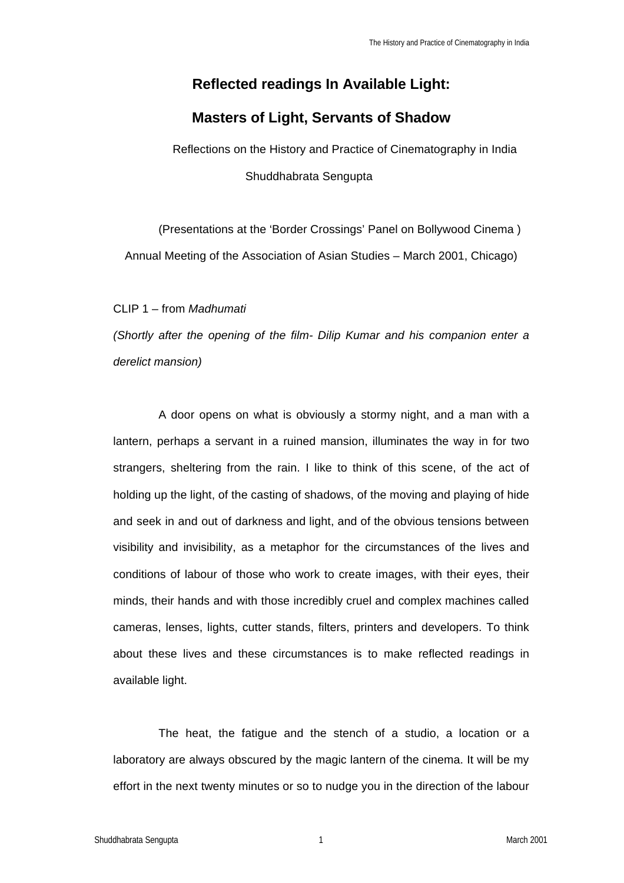# **Reflected readings In Available Light:**

## **Masters of Light, Servants of Shadow**

Reflections on the History and Practice of Cinematography in India Shuddhabrata Sengupta

(Presentations at the 'Border Crossings' Panel on Bollywood Cinema ) Annual Meeting of the Association of Asian Studies – March 2001, Chicago)

CLIP 1 – from *Madhumati*

*(Shortly after the opening of the film- Dilip Kumar and his companion enter a derelict mansion)*

A door opens on what is obviously a stormy night, and a man with a lantern, perhaps a servant in a ruined mansion, illuminates the way in for two strangers, sheltering from the rain. I like to think of this scene, of the act of holding up the light, of the casting of shadows, of the moving and playing of hide and seek in and out of darkness and light, and of the obvious tensions between visibility and invisibility, as a metaphor for the circumstances of the lives and conditions of labour of those who work to create images, with their eyes, their minds, their hands and with those incredibly cruel and complex machines called cameras, lenses, lights, cutter stands, filters, printers and developers. To think about these lives and these circumstances is to make reflected readings in available light.

The heat, the fatigue and the stench of a studio, a location or a laboratory are always obscured by the magic lantern of the cinema. It will be my effort in the next twenty minutes or so to nudge you in the direction of the labour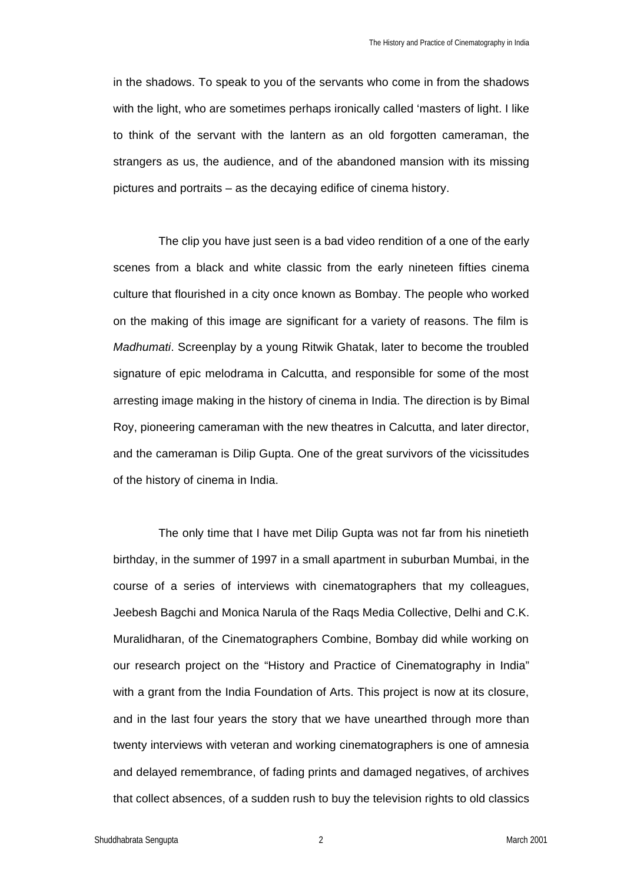in the shadows. To speak to you of the servants who come in from the shadows with the light, who are sometimes perhaps ironically called 'masters of light. I like to think of the servant with the lantern as an old forgotten cameraman, the strangers as us, the audience, and of the abandoned mansion with its missing pictures and portraits – as the decaying edifice of cinema history.

The clip you have just seen is a bad video rendition of a one of the early scenes from a black and white classic from the early nineteen fifties cinema culture that flourished in a city once known as Bombay. The people who worked on the making of this image are significant for a variety of reasons. The film is *Madhumati*. Screenplay by a young Ritwik Ghatak, later to become the troubled signature of epic melodrama in Calcutta, and responsible for some of the most arresting image making in the history of cinema in India. The direction is by Bimal Roy, pioneering cameraman with the new theatres in Calcutta, and later director, and the cameraman is Dilip Gupta. One of the great survivors of the vicissitudes of the history of cinema in India.

The only time that I have met Dilip Gupta was not far from his ninetieth birthday, in the summer of 1997 in a small apartment in suburban Mumbai, in the course of a series of interviews with cinematographers that my colleagues, Jeebesh Bagchi and Monica Narula of the Raqs Media Collective, Delhi and C.K. Muralidharan, of the Cinematographers Combine, Bombay did while working on our research project on the "History and Practice of Cinematography in India" with a grant from the India Foundation of Arts. This project is now at its closure, and in the last four years the story that we have unearthed through more than twenty interviews with veteran and working cinematographers is one of amnesia and delayed remembrance, of fading prints and damaged negatives, of archives that collect absences, of a sudden rush to buy the television rights to old classics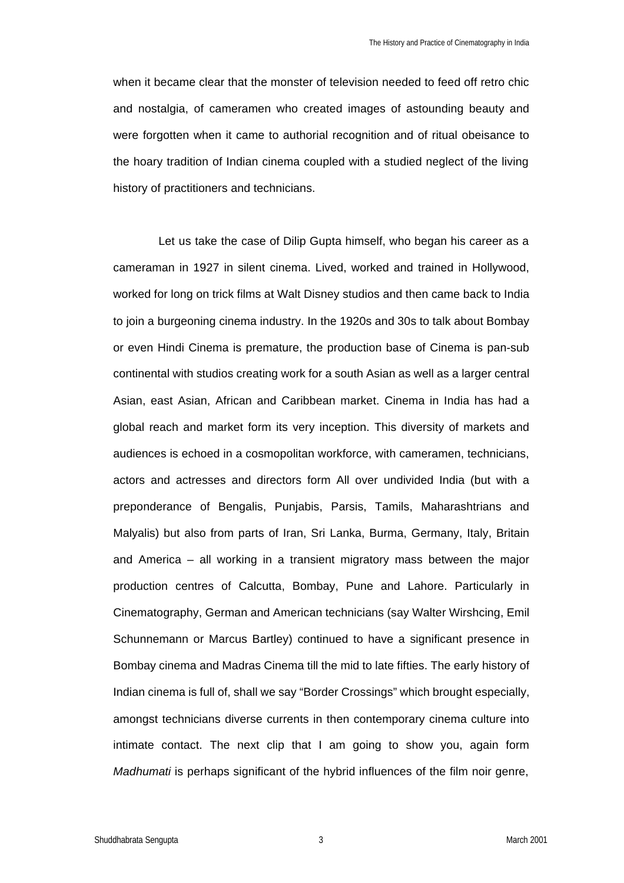when it became clear that the monster of television needed to feed off retro chic and nostalgia, of cameramen who created images of astounding beauty and were forgotten when it came to authorial recognition and of ritual obeisance to the hoary tradition of Indian cinema coupled with a studied neglect of the living history of practitioners and technicians.

Let us take the case of Dilip Gupta himself, who began his career as a cameraman in 1927 in silent cinema. Lived, worked and trained in Hollywood, worked for long on trick films at Walt Disney studios and then came back to India to join a burgeoning cinema industry. In the 1920s and 30s to talk about Bombay or even Hindi Cinema is premature, the production base of Cinema is pan-sub continental with studios creating work for a south Asian as well as a larger central Asian, east Asian, African and Caribbean market. Cinema in India has had a global reach and market form its very inception. This diversity of markets and audiences is echoed in a cosmopolitan workforce, with cameramen, technicians, actors and actresses and directors form All over undivided India (but with a preponderance of Bengalis, Punjabis, Parsis, Tamils, Maharashtrians and Malyalis) but also from parts of Iran, Sri Lanka, Burma, Germany, Italy, Britain and America – all working in a transient migratory mass between the major production centres of Calcutta, Bombay, Pune and Lahore. Particularly in Cinematography, German and American technicians (say Walter Wirshcing, Emil Schunnemann or Marcus Bartley) continued to have a significant presence in Bombay cinema and Madras Cinema till the mid to late fifties. The early history of Indian cinema is full of, shall we say "Border Crossings" which brought especially, amongst technicians diverse currents in then contemporary cinema culture into intimate contact. The next clip that I am going to show you, again form *Madhumati* is perhaps significant of the hybrid influences of the film noir genre,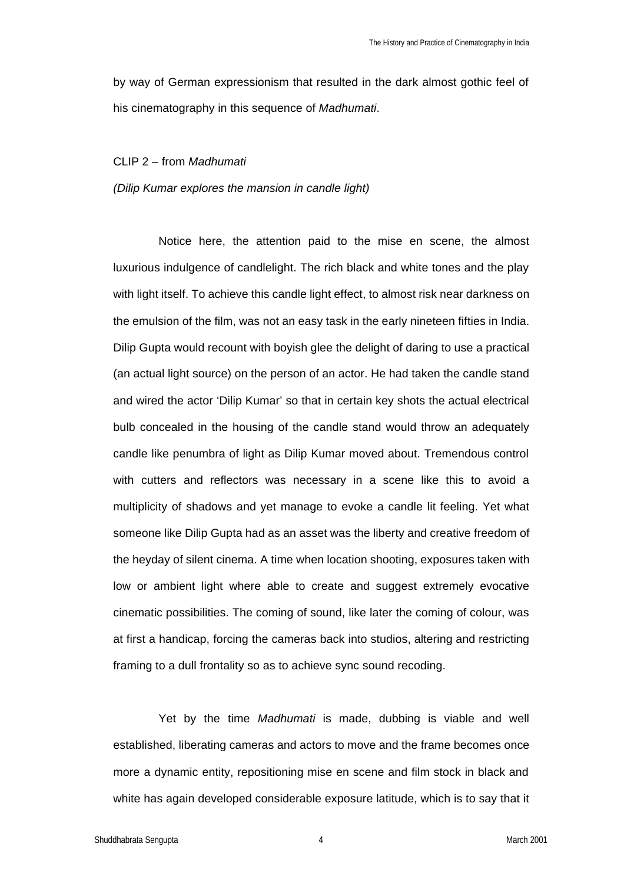by way of German expressionism that resulted in the dark almost gothic feel of his cinematography in this sequence of *Madhumati*.

#### CLIP 2 – from *Madhumati*

*(Dilip Kumar explores the mansion in candle light)*

Notice here, the attention paid to the mise en scene, the almost luxurious indulgence of candlelight. The rich black and white tones and the play with light itself. To achieve this candle light effect, to almost risk near darkness on the emulsion of the film, was not an easy task in the early nineteen fifties in India. Dilip Gupta would recount with boyish glee the delight of daring to use a practical (an actual light source) on the person of an actor. He had taken the candle stand and wired the actor 'Dilip Kumar' so that in certain key shots the actual electrical bulb concealed in the housing of the candle stand would throw an adequately candle like penumbra of light as Dilip Kumar moved about. Tremendous control with cutters and reflectors was necessary in a scene like this to avoid a multiplicity of shadows and yet manage to evoke a candle lit feeling. Yet what someone like Dilip Gupta had as an asset was the liberty and creative freedom of the heyday of silent cinema. A time when location shooting, exposures taken with low or ambient light where able to create and suggest extremely evocative cinematic possibilities. The coming of sound, like later the coming of colour, was at first a handicap, forcing the cameras back into studios, altering and restricting framing to a dull frontality so as to achieve sync sound recoding.

Yet by the time *Madhumati* is made, dubbing is viable and well established, liberating cameras and actors to move and the frame becomes once more a dynamic entity, repositioning mise en scene and film stock in black and white has again developed considerable exposure latitude, which is to say that it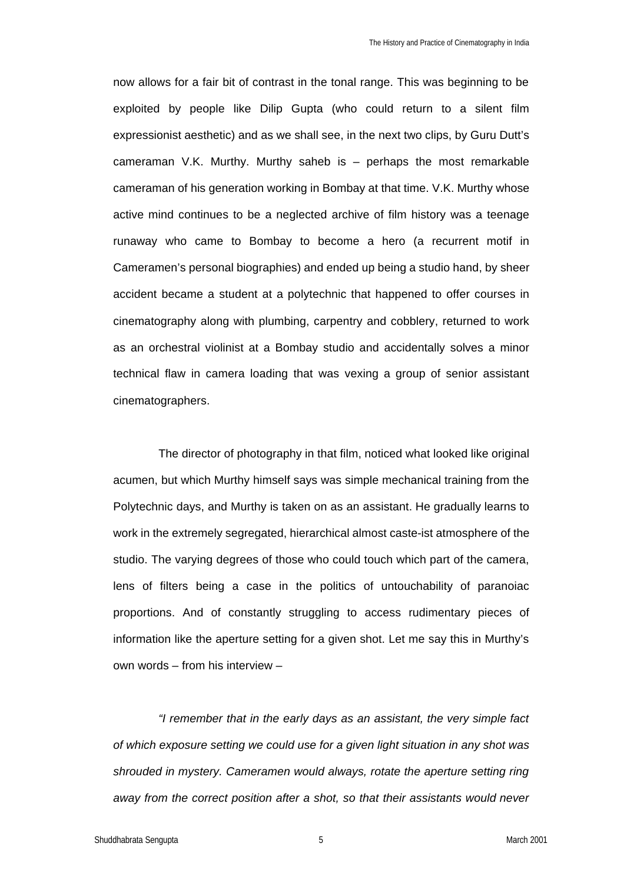now allows for a fair bit of contrast in the tonal range. This was beginning to be exploited by people like Dilip Gupta (who could return to a silent film expressionist aesthetic) and as we shall see, in the next two clips, by Guru Dutt's cameraman V.K. Murthy. Murthy saheb is – perhaps the most remarkable cameraman of his generation working in Bombay at that time. V.K. Murthy whose active mind continues to be a neglected archive of film history was a teenage runaway who came to Bombay to become a hero (a recurrent motif in Cameramen's personal biographies) and ended up being a studio hand, by sheer accident became a student at a polytechnic that happened to offer courses in cinematography along with plumbing, carpentry and cobblery, returned to work as an orchestral violinist at a Bombay studio and accidentally solves a minor technical flaw in camera loading that was vexing a group of senior assistant cinematographers.

The director of photography in that film, noticed what looked like original acumen, but which Murthy himself says was simple mechanical training from the Polytechnic days, and Murthy is taken on as an assistant. He gradually learns to work in the extremely segregated, hierarchical almost caste-ist atmosphere of the studio. The varying degrees of those who could touch which part of the camera, lens of filters being a case in the politics of untouchability of paranoiac proportions. And of constantly struggling to access rudimentary pieces of information like the aperture setting for a given shot. Let me say this in Murthy's own words – from his interview –

*"I remember that in the early days as an assistant, the very simple fact of which exposure setting we could use for a given light situation in any shot was shrouded in mystery. Cameramen would always, rotate the aperture setting ring away from the correct position after a shot, so that their assistants would never*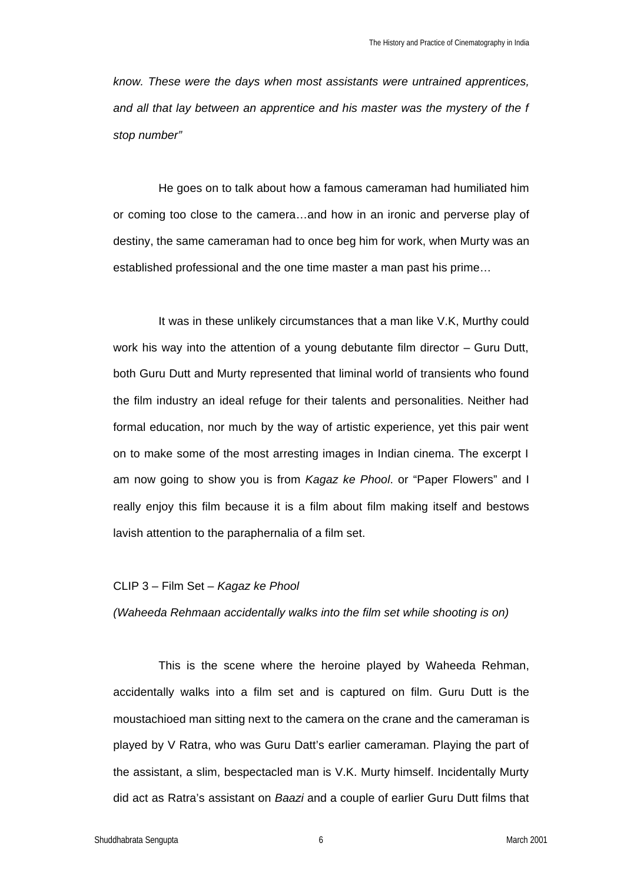*know. These were the days when most assistants were untrained apprentices, and all that lay between an apprentice and his master was the mystery of the f stop number"*

He goes on to talk about how a famous cameraman had humiliated him or coming too close to the camera…and how in an ironic and perverse play of destiny, the same cameraman had to once beg him for work, when Murty was an established professional and the one time master a man past his prime…

It was in these unlikely circumstances that a man like V.K, Murthy could work his way into the attention of a young debutante film director – Guru Dutt, both Guru Dutt and Murty represented that liminal world of transients who found the film industry an ideal refuge for their talents and personalities. Neither had formal education, nor much by the way of artistic experience, yet this pair went on to make some of the most arresting images in Indian cinema. The excerpt I am now going to show you is from *Kagaz ke Phool*. or "Paper Flowers" and I really enjoy this film because it is a film about film making itself and bestows lavish attention to the paraphernalia of a film set.

### CLIP 3 – Film Set – *Kagaz ke Phool*

*(Waheeda Rehmaan accidentally walks into the film set while shooting is on)*

This is the scene where the heroine played by Waheeda Rehman, accidentally walks into a film set and is captured on film. Guru Dutt is the moustachioed man sitting next to the camera on the crane and the cameraman is played by V Ratra, who was Guru Datt's earlier cameraman. Playing the part of the assistant, a slim, bespectacled man is V.K. Murty himself. Incidentally Murty did act as Ratra's assistant on *Baazi* and a couple of earlier Guru Dutt films that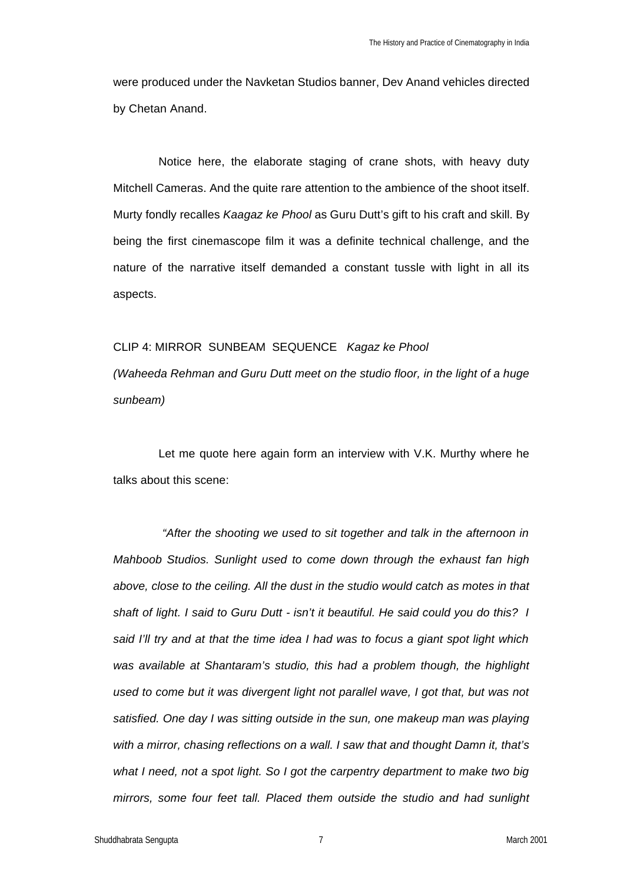were produced under the Navketan Studios banner, Dev Anand vehicles directed by Chetan Anand.

Notice here, the elaborate staging of crane shots, with heavy duty Mitchell Cameras. And the quite rare attention to the ambience of the shoot itself. Murty fondly recalles *Kaagaz ke Phool* as Guru Dutt's gift to his craft and skill. By being the first cinemascope film it was a definite technical challenge, and the nature of the narrative itself demanded a constant tussle with light in all its aspects.

#### CLIP 4: MIRROR SUNBEAM SEQUENCE *Kagaz ke Phool*

*(Waheeda Rehman and Guru Dutt meet on the studio floor, in the light of a huge sunbeam)*

Let me quote here again form an interview with V.K. Murthy where he talks about this scene:

 *"After the shooting we used to sit together and talk in the afternoon in Mahboob Studios. Sunlight used to come down through the exhaust fan high above, close to the ceiling. All the dust in the studio would catch as motes in that shaft of light. I said to Guru Dutt - isn't it beautiful. He said could you do this? I said I'll try and at that the time idea I had was to focus a giant spot light which was available at Shantaram's studio, this had a problem though, the highlight used to come but it was divergent light not parallel wave, I got that, but was not*  satisfied. One day I was sitting outside in the sun, one makeup man was playing *with a mirror, chasing reflections on a wall. I saw that and thought Damn it, that's what I need, not a spot light. So I got the carpentry department to make two big mirrors, some four feet tall. Placed them outside the studio and had sunlight*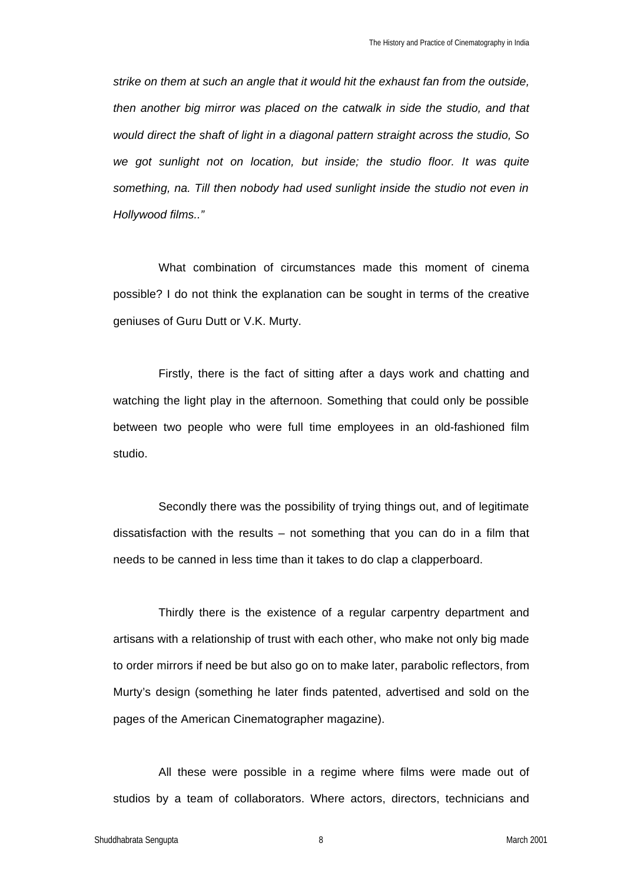*strike on them at such an angle that it would hit the exhaust fan from the outside, then another big mirror was placed on the catwalk in side the studio, and that would direct the shaft of light in a diagonal pattern straight across the studio, So we got sunlight not on location, but inside; the studio floor. It was quite something, na. Till then nobody had used sunlight inside the studio not even in Hollywood films.."*

What combination of circumstances made this moment of cinema possible? I do not think the explanation can be sought in terms of the creative geniuses of Guru Dutt or V.K. Murty.

Firstly, there is the fact of sitting after a days work and chatting and watching the light play in the afternoon. Something that could only be possible between two people who were full time employees in an old-fashioned film studio.

Secondly there was the possibility of trying things out, and of legitimate dissatisfaction with the results – not something that you can do in a film that needs to be canned in less time than it takes to do clap a clapperboard.

Thirdly there is the existence of a regular carpentry department and artisans with a relationship of trust with each other, who make not only big made to order mirrors if need be but also go on to make later, parabolic reflectors, from Murty's design (something he later finds patented, advertised and sold on the pages of the American Cinematographer magazine).

All these were possible in a regime where films were made out of studios by a team of collaborators. Where actors, directors, technicians and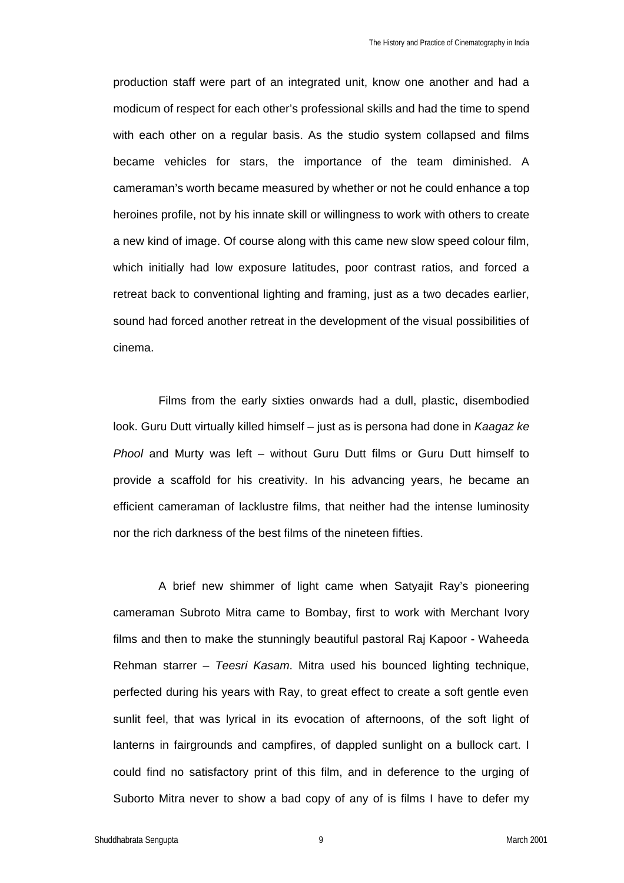production staff were part of an integrated unit, know one another and had a modicum of respect for each other's professional skills and had the time to spend with each other on a regular basis. As the studio system collapsed and films became vehicles for stars, the importance of the team diminished. A cameraman's worth became measured by whether or not he could enhance a top heroines profile, not by his innate skill or willingness to work with others to create a new kind of image. Of course along with this came new slow speed colour film, which initially had low exposure latitudes, poor contrast ratios, and forced a retreat back to conventional lighting and framing, just as a two decades earlier, sound had forced another retreat in the development of the visual possibilities of cinema.

Films from the early sixties onwards had a dull, plastic, disembodied look. Guru Dutt virtually killed himself – just as is persona had done in *Kaagaz ke Phool* and Murty was left – without Guru Dutt films or Guru Dutt himself to provide a scaffold for his creativity. In his advancing years, he became an efficient cameraman of lacklustre films, that neither had the intense luminosity nor the rich darkness of the best films of the nineteen fifties.

A brief new shimmer of light came when Satyajit Ray's pioneering cameraman Subroto Mitra came to Bombay, first to work with Merchant Ivory films and then to make the stunningly beautiful pastoral Raj Kapoor - Waheeda Rehman starrer – *Teesri Kasam*. Mitra used his bounced lighting technique, perfected during his years with Ray, to great effect to create a soft gentle even sunlit feel, that was lyrical in its evocation of afternoons, of the soft light of lanterns in fairgrounds and campfires, of dappled sunlight on a bullock cart. I could find no satisfactory print of this film, and in deference to the urging of Suborto Mitra never to show a bad copy of any of is films I have to defer my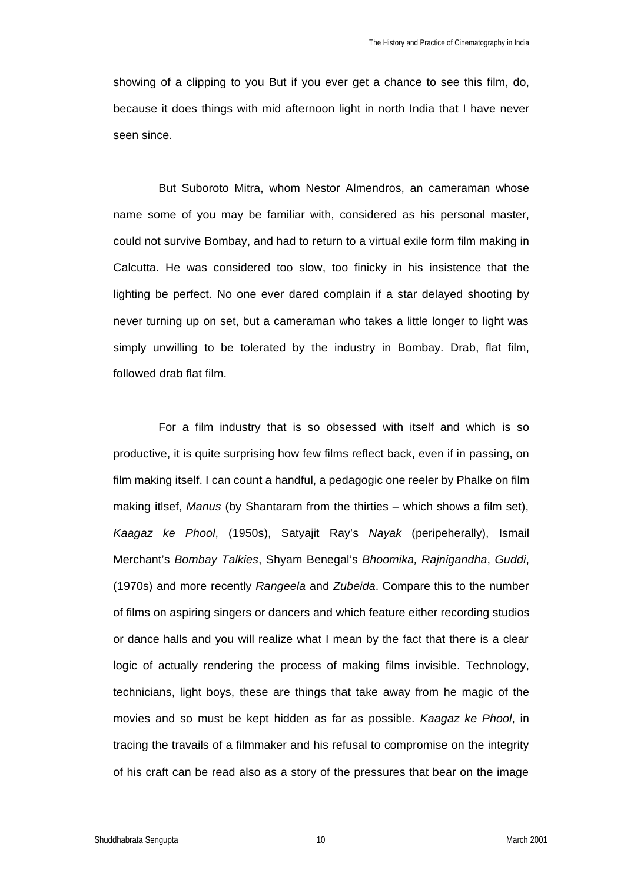showing of a clipping to you But if you ever get a chance to see this film, do, because it does things with mid afternoon light in north India that I have never seen since.

But Suboroto Mitra, whom Nestor Almendros, an cameraman whose name some of you may be familiar with, considered as his personal master, could not survive Bombay, and had to return to a virtual exile form film making in Calcutta. He was considered too slow, too finicky in his insistence that the lighting be perfect. No one ever dared complain if a star delayed shooting by never turning up on set, but a cameraman who takes a little longer to light was simply unwilling to be tolerated by the industry in Bombay. Drab, flat film, followed drab flat film.

For a film industry that is so obsessed with itself and which is so productive, it is quite surprising how few films reflect back, even if in passing, on film making itself. I can count a handful, a pedagogic one reeler by Phalke on film making itlsef, *Manus* (by Shantaram from the thirties – which shows a film set), *Kaagaz ke Phool*, (1950s), Satyajit Ray's *Nayak* (peripeherally), Ismail Merchant's *Bombay Talkies*, Shyam Benegal's *Bhoomika, Rajnigandha*, *Guddi*, (1970s) and more recently *Rangeela* and *Zubeida*. Compare this to the number of films on aspiring singers or dancers and which feature either recording studios or dance halls and you will realize what I mean by the fact that there is a clear logic of actually rendering the process of making films invisible. Technology, technicians, light boys, these are things that take away from he magic of the movies and so must be kept hidden as far as possible. *Kaagaz ke Phool*, in tracing the travails of a filmmaker and his refusal to compromise on the integrity of his craft can be read also as a story of the pressures that bear on the image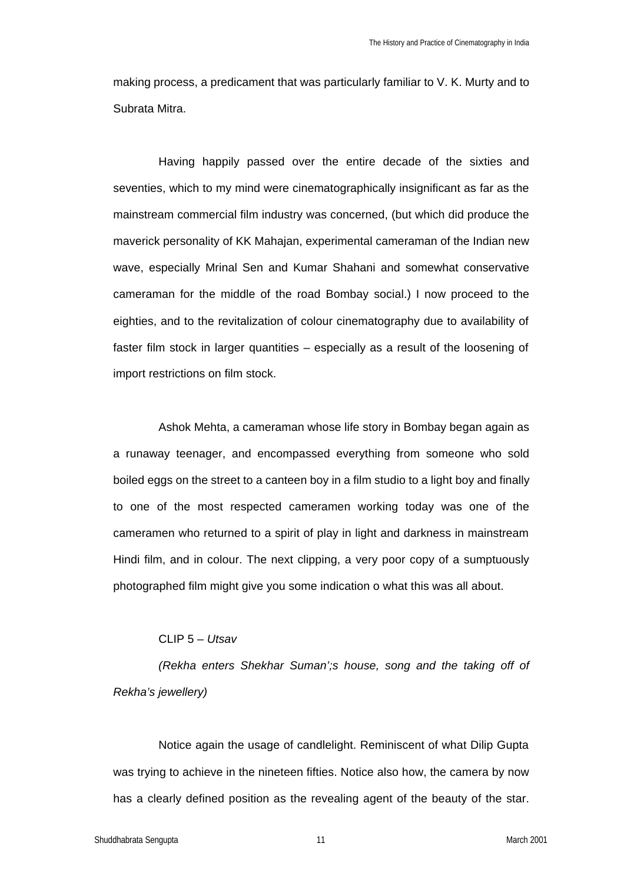making process, a predicament that was particularly familiar to V. K. Murty and to Subrata Mitra.

Having happily passed over the entire decade of the sixties and seventies, which to my mind were cinematographically insignificant as far as the mainstream commercial film industry was concerned, (but which did produce the maverick personality of KK Mahajan, experimental cameraman of the Indian new wave, especially Mrinal Sen and Kumar Shahani and somewhat conservative cameraman for the middle of the road Bombay social.) I now proceed to the eighties, and to the revitalization of colour cinematography due to availability of faster film stock in larger quantities – especially as a result of the loosening of import restrictions on film stock.

Ashok Mehta, a cameraman whose life story in Bombay began again as a runaway teenager, and encompassed everything from someone who sold boiled eggs on the street to a canteen boy in a film studio to a light boy and finally to one of the most respected cameramen working today was one of the cameramen who returned to a spirit of play in light and darkness in mainstream Hindi film, and in colour. The next clipping, a very poor copy of a sumptuously photographed film might give you some indication o what this was all about.

## CLIP 5 – *Utsav*

*(Rekha enters Shekhar Suman';s house, song and the taking off of Rekha's jewellery)*

Notice again the usage of candlelight. Reminiscent of what Dilip Gupta was trying to achieve in the nineteen fifties. Notice also how, the camera by now has a clearly defined position as the revealing agent of the beauty of the star.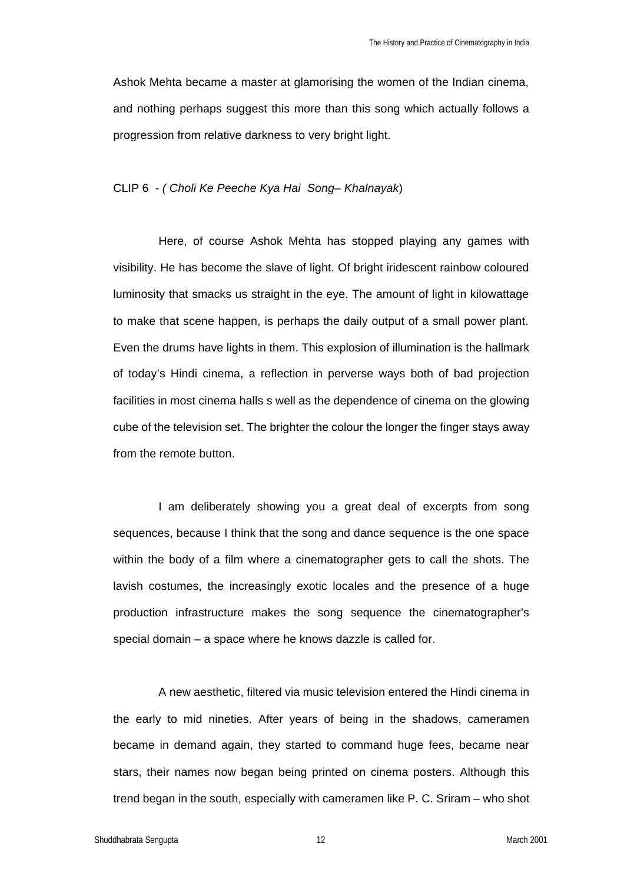Ashok Mehta became a master at glamorising the women of the Indian cinema, and nothing perhaps suggest this more than this song which actually follows a progression from relative darkness to very bright light.

#### CLIP 6 - *( Choli Ke Peeche Kya Hai Song– Khalnayak*)

Here, of course Ashok Mehta has stopped playing any games with visibility. He has become the slave of light. Of bright iridescent rainbow coloured luminosity that smacks us straight in the eye. The amount of light in kilowattage to make that scene happen, is perhaps the daily output of a small power plant. Even the drums have lights in them. This explosion of illumination is the hallmark of today's Hindi cinema, a reflection in perverse ways both of bad projection facilities in most cinema halls s well as the dependence of cinema on the glowing cube of the television set. The brighter the colour the longer the finger stays away from the remote button.

I am deliberately showing you a great deal of excerpts from song sequences, because I think that the song and dance sequence is the one space within the body of a film where a cinematographer gets to call the shots. The lavish costumes, the increasingly exotic locales and the presence of a huge production infrastructure makes the song sequence the cinematographer's special domain – a space where he knows dazzle is called for.

A new aesthetic, filtered via music television entered the Hindi cinema in the early to mid nineties. After years of being in the shadows, cameramen became in demand again, they started to command huge fees, became near stars, their names now began being printed on cinema posters. Although this trend began in the south, especially with cameramen like P. C. Sriram – who shot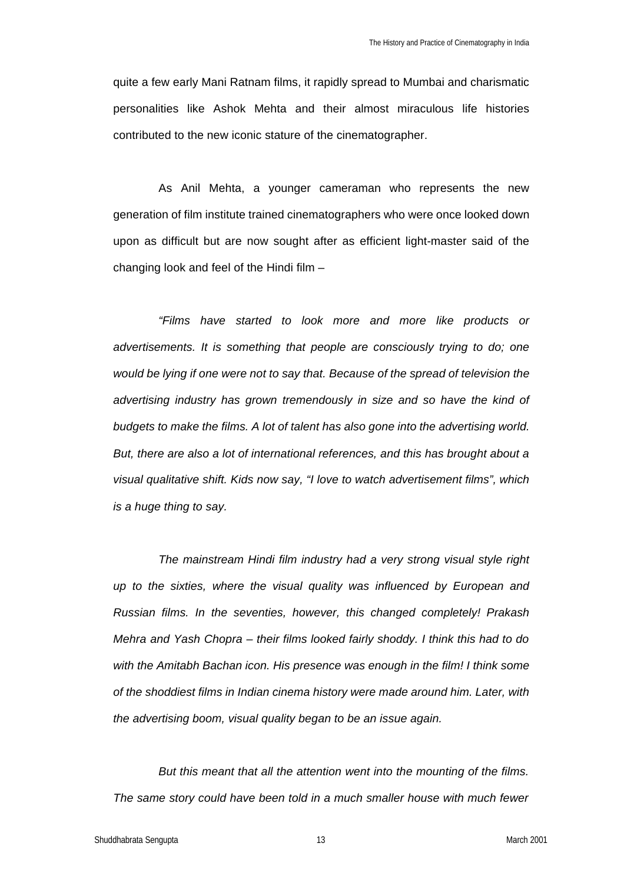quite a few early Mani Ratnam films, it rapidly spread to Mumbai and charismatic personalities like Ashok Mehta and their almost miraculous life histories contributed to the new iconic stature of the cinematographer.

As Anil Mehta, a younger cameraman who represents the new generation of film institute trained cinematographers who were once looked down upon as difficult but are now sought after as efficient light-master said of the changing look and feel of the Hindi film –

*"Films have started to look more and more like products or advertisements. It is something that people are consciously trying to do; one would be lying if one were not to say that. Because of the spread of television the advertising industry has grown tremendously in size and so have the kind of budgets to make the films. A lot of talent has also gone into the advertising world. But, there are also a lot of international references, and this has brought about a visual qualitative shift. Kids now say, "I love to watch advertisement films", which is a huge thing to say.*

*The mainstream Hindi film industry had a very strong visual style right up to the sixties, where the visual quality was influenced by European and Russian films. In the seventies, however, this changed completely! Prakash Mehra and Yash Chopra – their films looked fairly shoddy. I think this had to do*  with the Amitabh Bachan icon. His presence was enough in the film! I think some *of the shoddiest films in Indian cinema history were made around him. Later, with the advertising boom, visual quality began to be an issue again.* 

*But this meant that all the attention went into the mounting of the films. The same story could have been told in a much smaller house with much fewer*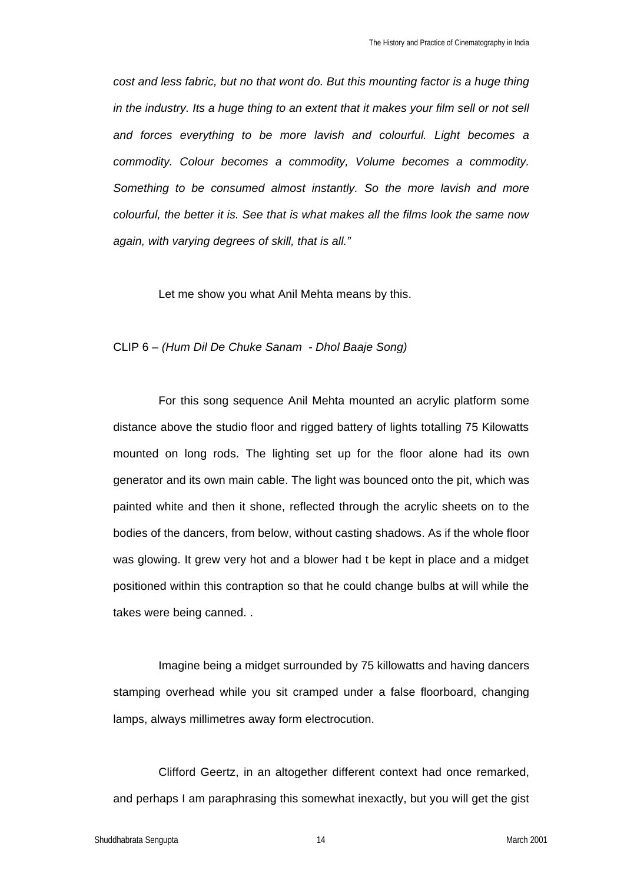*cost and less fabric, but no that wont do. But this mounting factor is a huge thing in the industry. Its a huge thing to an extent that it makes your film sell or not sell and forces everything to be more lavish and colourful. Light becomes a commodity. Colour becomes a commodity, Volume becomes a commodity. Something to be consumed almost instantly. So the more lavish and more colourful, the better it is. See that is what makes all the films look the same now again, with varying degrees of skill, that is all."*

Let me show you what Anil Mehta means by this.

## CLIP 6 *– (Hum Dil De Chuke Sanam - Dhol Baaje Song)*

For this song sequence Anil Mehta mounted an acrylic platform some distance above the studio floor and rigged battery of lights totalling 75 Kilowatts mounted on long rods. The lighting set up for the floor alone had its own generator and its own main cable. The light was bounced onto the pit, which was painted white and then it shone, reflected through the acrylic sheets on to the bodies of the dancers, from below, without casting shadows. As if the whole floor was glowing. It grew very hot and a blower had t be kept in place and a midget positioned within this contraption so that he could change bulbs at will while the takes were being canned. .

Imagine being a midget surrounded by 75 killowatts and having dancers stamping overhead while you sit cramped under a false floorboard, changing lamps, always millimetres away form electrocution.

Clifford Geertz, in an altogether different context had once remarked, and perhaps I am paraphrasing this somewhat inexactly, but you will get the gist